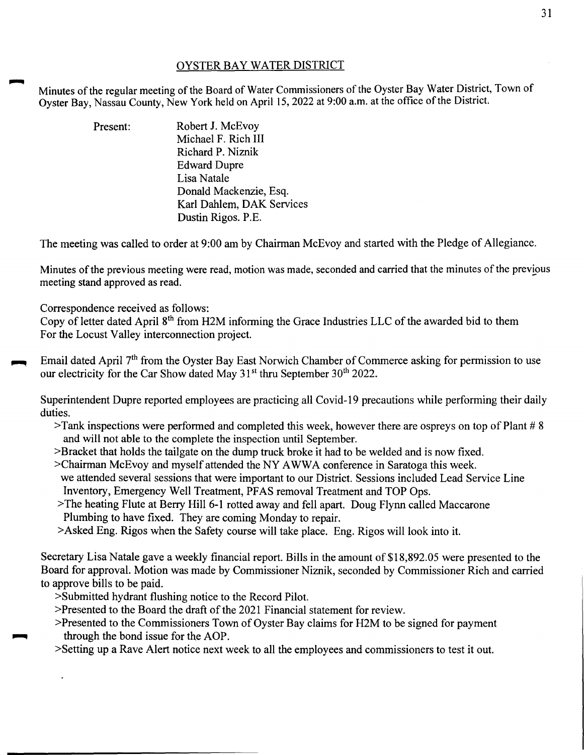## OYSTER BAY WATER DISTRICT

Minutes of the regular meeting of the Board of Water Commissioners of the Oyster Bay Water District, Town of Oyster Bay, Nassau County, New York held on April 15, 2022 at 9:00 a.m. at the office of the District.

> Present: Robert J. McEvoy Michael F. Rich Ill Richard P. Niznik Edward Dupre Lisa Natale Donald Mackenzie, Esq. Karl Dahlem, OAK Services Dustin Rigos. P.E.

The meeting was called to order at 9:00 am by Chairman McEvoy and started with the Pledge of Allegiance.

Minutes of the previous meeting were read, motion was made, seconded and carried that the minutes of the previous meeting stand approved as read.

Correspondence received as follows:

Copy of letter dated April 8<sup>th</sup> from H2M informing the Grace Industries LLC of the awarded bid to them For the Locust Valley interconnection project.

Email dated April  $7<sup>th</sup>$  from the Oyster Bay East Norwich Chamber of Commerce asking for permission to use our electricity for the Car Show dated May  $31<sup>st</sup>$  thru September  $30<sup>th</sup>$  2022.

Superintendent Dupre reported employees are practicing all Covid-19 precautions while performing their daily duties.

- >Tank inspections were performed and completed this week, however there are ospreys on top of Plant # 8 and will not able to the complete the inspection until September.
- >Bracket that holds the tailgate on the dump truck broke it had to be welded and is now fixed.
- >Chairman McEvoy and myself attended the NY AWWA conference in Saratoga this week. we attended several sessions that were important to our District. Sessions included Lead Service Line Inventory, Emergency Well Treatment, PFAS removal Treatment and TOP Ops.
- >The heating Flute at Berry Hill 6-1 rotted away and fell apart. Doug Flynn called Maccarone Plumbing to have fixed. They are coming Monday to repair.
- >Asked Eng. Rigos when the Safety course will take place. Eng. Rigos will look into it.

Secretary Lisa Natale gave a weekly financial report. Bills in the amount of \$18,892.05 were presented to the Board for approval. Motion was made by Commissioner Niznik, seconded by Commissioner Rich and carried to approve bills to be paid.

- >Submitted hydrant flushing notice to the Record Pilot.
- >Presented to the Board the draft of the 2021 Financial statement for review.
- >Presented to the Commissioners Town of Oyster Bay claims for H2M to be signed for payment through the bond issue for the AOP.
- >Setting up a Rave Alert notice next week to all the employees and commissioners to test it out.